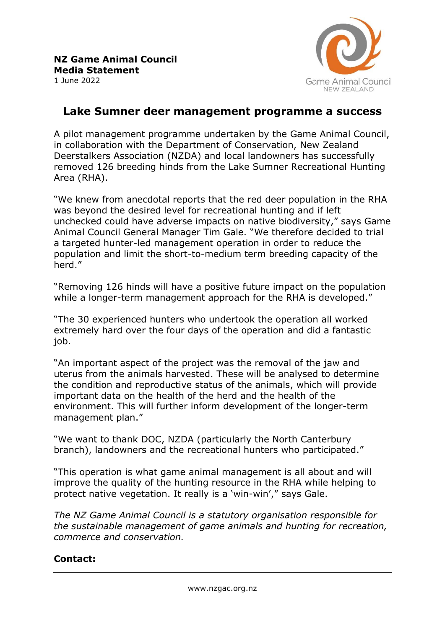

## **Lake Sumner deer management programme a success**

A pilot management programme undertaken by the Game Animal Council, in collaboration with the Department of Conservation, New Zealand Deerstalkers Association (NZDA) and local landowners has successfully removed 126 breeding hinds from the Lake Sumner Recreational Hunting Area (RHA).

"We knew from anecdotal reports that the red deer population in the RHA was beyond the desired level for recreational hunting and if left unchecked could have adverse impacts on native biodiversity," says Game Animal Council General Manager Tim Gale. "We therefore decided to trial a targeted hunter-led management operation in order to reduce the population and limit the short-to-medium term breeding capacity of the herd."

"Removing 126 hinds will have a positive future impact on the population while a longer-term management approach for the RHA is developed."

"The 30 experienced hunters who undertook the operation all worked extremely hard over the four days of the operation and did a fantastic job.

"An important aspect of the project was the removal of the jaw and uterus from the animals harvested. These will be analysed to determine the condition and reproductive status of the animals, which will provide important data on the health of the herd and the health of the environment. This will further inform development of the longer-term management plan."

"We want to thank DOC, NZDA (particularly the North Canterbury branch), landowners and the recreational hunters who participated."

"This operation is what game animal management is all about and will improve the quality of the hunting resource in the RHA while helping to protect native vegetation. It really is a 'win-win'," says Gale.

*The NZ Game Animal Council is a statutory organisation responsible for the sustainable management of game animals and hunting for recreation, commerce and conservation.*

## **Contact:**